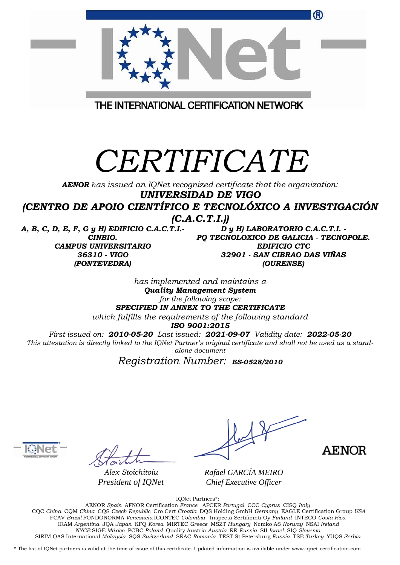|                                                                                                                             | ®                                                                                                                                                                                                                    |
|-----------------------------------------------------------------------------------------------------------------------------|----------------------------------------------------------------------------------------------------------------------------------------------------------------------------------------------------------------------|
|                                                                                                                             |                                                                                                                                                                                                                      |
|                                                                                                                             | THE INTERNATIONAL CERTIFICATION NETWORK                                                                                                                                                                              |
| CERTIFICATE<br><b>AENOR</b> has issued an IQNet recognized certificate that the organization:<br><b>UNIVERSIDAD DE VIGO</b> |                                                                                                                                                                                                                      |
| (CENTRO DE APOIO CIENTÍFICO E TECNOLÓXICO A INVESTIGACIÓN<br>(C.A.C.T.I.)                                                   |                                                                                                                                                                                                                      |
| A, B, C, D, E, F, G y H) EDIFICIO C.A.C.T.I.-<br>CINBIO.<br><b>CAMPUS UNIVERSITARIO</b><br>36310 - VIGO<br>(PONTEVEDRA)     | D y H) LABORATORIO C.A.C.T.I. -<br>PQ TECNOLOXICO DE GALICIA - TECNOPOLE.<br><b>EDIFICIO CTC</b><br>32901 - SAN CIBRAO DAS VIÑAS<br>(OURENSE)                                                                        |
|                                                                                                                             | has implemented and maintains a                                                                                                                                                                                      |
|                                                                                                                             | <b>Quality Management System</b>                                                                                                                                                                                     |
|                                                                                                                             | for the following scope:<br>SPECIFIED IN ANNEX TO THE CERTIFICATE                                                                                                                                                    |
|                                                                                                                             | which fulfills the requirements of the following standard                                                                                                                                                            |
|                                                                                                                             | ISO 9001:2015                                                                                                                                                                                                        |
|                                                                                                                             | First issued on: 2010-05-20 Last issued: 2021-09-07 Validity date: 2022-05-20<br>This attestation is directly linked to the IQNet Partner's original certificate and shall not be used as a stand-<br>alone document |

*Registration Number: ES-0528/2010*



*Alex Stoichitoiu President of IQNet*

**AENOR** 

*Rafael GARCÍA MEIRO Chief Executive Officer*

IQNet Partners\*:

AENOR *Spain* AFNOR Certification *France* APCER *Portugal* CCC *Cyprus* CISQ *Italy* CQC *China* CQM *China* CQS *Czech Republic* Cro Cert *Croatia* DQS Holding GmbH *Germany* EAGLE Certification Group *USA* FCAV *Brazil* FONDONORMA *Venezuela* ICONTEC *Colombia* Inspecta Sertifiointi Oy *Finland* INTECO *Costa Rica* IRAM *Argentina* JQA *Japan* KFQ *Korea* MIRTEC *Greece* MSZT *Hungary* Nemko AS *Norway* NSAI *Ireland NYCE-*SIGE *México* PCBC *Poland* Quality Austria *Austria* RR *Russia* SII *Israel* SIQ *Slovenia*  SIRIM QAS International *Malaysia* SQS *Switzerland* SRAC *Romania* TEST St Petersburg *Russia* TSE *Turkey* YUQS *Serbia*

\* The list of IQNet partners is valid at the time of issue of this certificate. Updated information is available under www.iqnet-certification.com